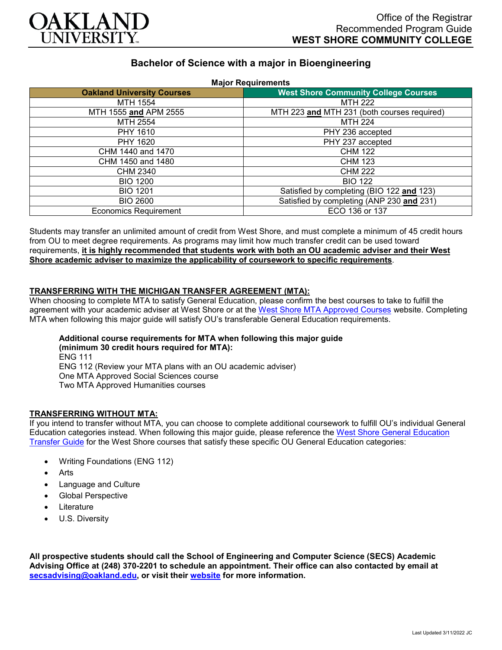

# **Bachelor of Science with a major in Bioengineering**

| <b>Oakland University Courses</b> | <b>West Shore Community College Courses</b> |
|-----------------------------------|---------------------------------------------|
| MTH 1554                          | <b>MTH 222</b>                              |
| MTH 1555 and APM 2555             | MTH 223 and MTH 231 (both courses required) |
| MTH 2554                          | <b>MTH 224</b>                              |
| PHY 1610                          | PHY 236 accepted                            |
| PHY 1620                          | PHY 237 accepted                            |
| CHM 1440 and 1470                 | <b>CHM 122</b>                              |
| CHM 1450 and 1480                 | <b>CHM 123</b>                              |
| CHM 2340                          | <b>CHM 222</b>                              |
| <b>BIO 1200</b>                   | <b>BIO 122</b>                              |
| <b>BIO 1201</b>                   | Satisfied by completing (BIO 122 and 123)   |
| <b>BIO 2600</b>                   | Satisfied by completing (ANP 230 and 231)   |
| <b>Economics Requirement</b>      | ECO 136 or 137                              |

Students may transfer an unlimited amount of credit from West Shore, and must complete a minimum of 45 credit hours from OU to meet degree requirements. As programs may limit how much transfer credit can be used toward requirements, **it is highly recommended that students work with both an OU academic adviser and their West Shore academic adviser to maximize the applicability of coursework to specific requirements**.

## **TRANSFERRING WITH THE MICHIGAN TRANSFER AGREEMENT (MTA):**

When choosing to complete MTA to satisfy General Education, please confirm the best courses to take to fulfill the agreement with your academic adviser at West Shore or at the [West Shore MTA Approved Courses](https://www.westshore.edu/admissions/transfer-students/) website. Completing MTA when following this major guide will satisfy OU's transferable General Education requirements.

# **Additional course requirements for MTA when following this major guide**

**(minimum 30 credit hours required for MTA):** ENG 111 ENG 112 (Review your MTA plans with an OU academic adviser) One MTA Approved Social Sciences course Two MTA Approved Humanities courses

#### **TRANSFERRING WITHOUT MTA:**

If you intend to transfer without MTA, you can choose to complete additional coursework to fulfill OU's individual General Education categories instead. When following this major guide, please reference the [West Shore General Education](https://www.oakland.edu/Assets/Oakland/program-guides/west-shore-community-college/university-general-education-requirements/West%20Shore%20Gen%20Ed.pdf)  [Transfer Guide](https://www.oakland.edu/Assets/Oakland/program-guides/west-shore-community-college/university-general-education-requirements/West%20Shore%20Gen%20Ed.pdf) for the West Shore courses that satisfy these specific OU General Education categories:

- Writing Foundations (ENG 112)
- **Arts**
- Language and Culture
- Global Perspective
- **Literature**
- U.S. Diversity

**All prospective students should call the School of Engineering and Computer Science (SECS) Academic Advising Office at (248) 370-2201 to schedule an appointment. Their office can also contacted by email at [secsadvising@oakland.edu,](mailto:secsadvising@oakland.edu) or visit their [website](https://wwwp.oakland.edu/secs/advising/) for more information.**